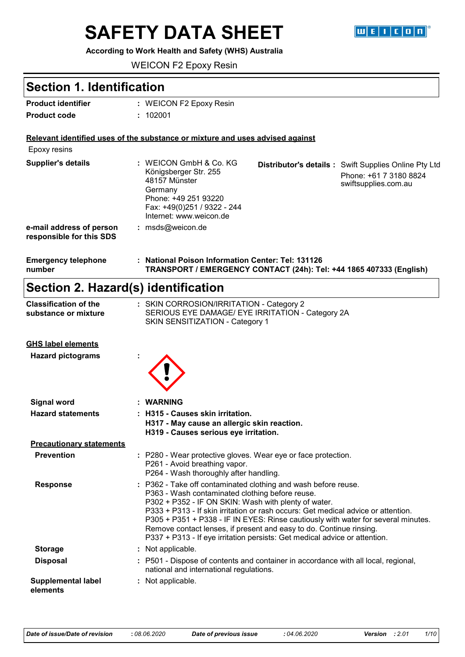# **SAFETY DATA SHEET**

#### **According to Work Health and Safety (WHS) Australia**

WEICON F2 Epoxy Resin

### **Section 1. Identification**

| <b>Product identifier</b> | : WEICON F2 Epoxy Resin |
|---------------------------|-------------------------|
| <b>Product code</b>       | : 102001                |

#### **Relevant identified uses of the substance or mixture and uses advised against**

| <b>Emergency telephone</b><br>number                 | : National Poison Information Center: Tel: 131126                                                                                                             | TRANSPORT / EMERGENCY CONTACT (24h): Tel: +44 1865 407333 (English) |                                                                                                               |
|------------------------------------------------------|---------------------------------------------------------------------------------------------------------------------------------------------------------------|---------------------------------------------------------------------|---------------------------------------------------------------------------------------------------------------|
| e-mail address of person<br>responsible for this SDS | $:$ msds@weicon.de                                                                                                                                            |                                                                     |                                                                                                               |
| <b>Supplier's details</b>                            | : WEICON GmbH & Co. KG<br>Königsberger Str. 255<br>48157 Münster<br>Germany<br>Phone: +49 251 93220<br>Fax: +49(0)251 / 9322 - 244<br>Internet: www.weicon.de |                                                                     | <b>Distributor's details:</b> Swift Supplies Online Pty Ltd<br>Phone: +61 7 3180 8824<br>swiftsupplies.com.au |
| Epoxy resins                                         |                                                                                                                                                               |                                                                     |                                                                                                               |

## **Section 2. Hazard(s) identification**

| <b>Classification of the</b><br>substance or mixture | : SKIN CORROSION/IRRITATION - Category 2<br>SERIOUS EYE DAMAGE/ EYE IRRITATION - Category 2A<br>SKIN SENSITIZATION - Category 1                                                                                                                                                                                                                                                                                                                                                                          |
|------------------------------------------------------|----------------------------------------------------------------------------------------------------------------------------------------------------------------------------------------------------------------------------------------------------------------------------------------------------------------------------------------------------------------------------------------------------------------------------------------------------------------------------------------------------------|
| <b>GHS label elements</b>                            |                                                                                                                                                                                                                                                                                                                                                                                                                                                                                                          |
| <b>Hazard pictograms</b>                             |                                                                                                                                                                                                                                                                                                                                                                                                                                                                                                          |
| <b>Signal word</b>                                   | <b>WARNING</b>                                                                                                                                                                                                                                                                                                                                                                                                                                                                                           |
| <b>Hazard statements</b>                             | : H315 - Causes skin irritation.<br>H317 - May cause an allergic skin reaction.<br>H319 - Causes serious eye irritation.                                                                                                                                                                                                                                                                                                                                                                                 |
| <b>Precautionary statements</b>                      |                                                                                                                                                                                                                                                                                                                                                                                                                                                                                                          |
| <b>Prevention</b>                                    | : P280 - Wear protective gloves. Wear eye or face protection.<br>P261 - Avoid breathing vapor.<br>P264 - Wash thoroughly after handling.                                                                                                                                                                                                                                                                                                                                                                 |
| <b>Response</b>                                      | : P362 - Take off contaminated clothing and wash before reuse.<br>P363 - Wash contaminated clothing before reuse.<br>P302 + P352 - IF ON SKIN: Wash with plenty of water.<br>P333 + P313 - If skin irritation or rash occurs: Get medical advice or attention.<br>P305 + P351 + P338 - IF IN EYES: Rinse cautiously with water for several minutes.<br>Remove contact lenses, if present and easy to do. Continue rinsing.<br>P337 + P313 - If eye irritation persists: Get medical advice or attention. |
| <b>Storage</b>                                       | : Not applicable.                                                                                                                                                                                                                                                                                                                                                                                                                                                                                        |
|                                                      |                                                                                                                                                                                                                                                                                                                                                                                                                                                                                                          |

**Disposal :** P501 - Dispose of contents and container in accordance with all local, regional, national and international regulations.

#### **Supplemental label elements :** Not applicable.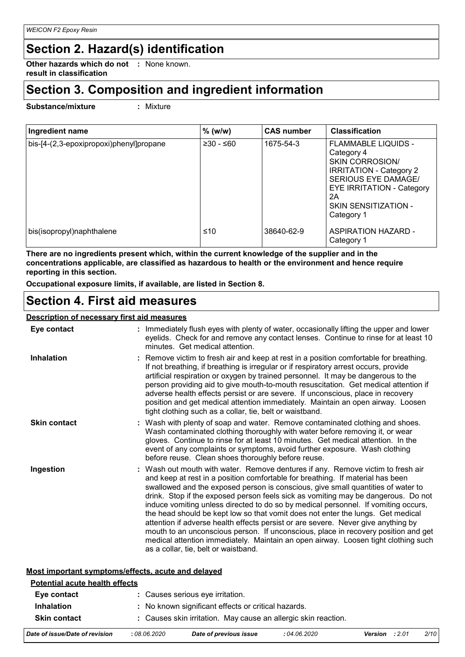### **Section 2. Hazard(s) identification**

**Other hazards which do not :** None known. **result in classification**

### **Section 3. Composition and ingredient information**

**Substance/mixture :**

Mixture

| Ingredient name                         | $%$ (w/w)   | <b>CAS number</b> | <b>Classification</b>                                                                                                                                                                                      |
|-----------------------------------------|-------------|-------------------|------------------------------------------------------------------------------------------------------------------------------------------------------------------------------------------------------------|
| bis-[4-(2,3-epoxipropoxi)phenyl]propane | $≥30 - ≤60$ | 1675-54-3         | <b>FLAMMABLE LIQUIDS -</b><br>Category 4<br><b>SKIN CORROSION</b><br><b>IRRITATION - Category 2</b><br>SERIOUS EYE DAMAGE/<br><b>EYE IRRITATION - Category</b><br>2A<br>SKIN SENSITIZATION -<br>Category 1 |
| bis(isopropyl)naphthalene               | ≤10         | 38640-62-9        | ASPIRATION HAZARD -<br>Category 1                                                                                                                                                                          |

**There are no ingredients present which, within the current knowledge of the supplier and in the concentrations applicable, are classified as hazardous to health or the environment and hence require reporting in this section.**

**Occupational exposure limits, if available, are listed in Section 8.**

### **Section 4. First aid measures**

### **Description of necessary first aid measures**

| Eye contact         | Immediately flush eyes with plenty of water, occasionally lifting the upper and lower                                                                                                                                                                                                                                                                                                                                                                                                                                                                                                                                                                                                                                                                                                                                      |
|---------------------|----------------------------------------------------------------------------------------------------------------------------------------------------------------------------------------------------------------------------------------------------------------------------------------------------------------------------------------------------------------------------------------------------------------------------------------------------------------------------------------------------------------------------------------------------------------------------------------------------------------------------------------------------------------------------------------------------------------------------------------------------------------------------------------------------------------------------|
|                     | eyelids. Check for and remove any contact lenses. Continue to rinse for at least 10<br>minutes. Get medical attention.                                                                                                                                                                                                                                                                                                                                                                                                                                                                                                                                                                                                                                                                                                     |
| <b>Inhalation</b>   | Remove victim to fresh air and keep at rest in a position comfortable for breathing.<br>If not breathing, if breathing is irregular or if respiratory arrest occurs, provide<br>artificial respiration or oxygen by trained personnel. It may be dangerous to the<br>person providing aid to give mouth-to-mouth resuscitation. Get medical attention if<br>adverse health effects persist or are severe. If unconscious, place in recovery<br>position and get medical attention immediately. Maintain an open airway. Loosen<br>tight clothing such as a collar, tie, belt or waistband.                                                                                                                                                                                                                                 |
| <b>Skin contact</b> | Wash with plenty of soap and water. Remove contaminated clothing and shoes.<br>Wash contaminated clothing thoroughly with water before removing it, or wear<br>gloves. Continue to rinse for at least 10 minutes. Get medical attention. In the<br>event of any complaints or symptoms, avoid further exposure. Wash clothing<br>before reuse. Clean shoes thoroughly before reuse.                                                                                                                                                                                                                                                                                                                                                                                                                                        |
| Ingestion           | Wash out mouth with water. Remove dentures if any. Remove victim to fresh air<br>and keep at rest in a position comfortable for breathing. If material has been<br>swallowed and the exposed person is conscious, give small quantities of water to<br>drink. Stop if the exposed person feels sick as vomiting may be dangerous. Do not<br>induce vomiting unless directed to do so by medical personnel. If vomiting occurs,<br>the head should be kept low so that vomit does not enter the lungs. Get medical<br>attention if adverse health effects persist or are severe. Never give anything by<br>mouth to an unconscious person. If unconscious, place in recovery position and get<br>medical attention immediately. Maintain an open airway. Loosen tight clothing such<br>as a collar, tie, belt or waistband. |

#### **Most important symptoms/effects, acute and delayed**

| <b>Potential acute health effects</b> |              |                                                                |              |                   |      |
|---------------------------------------|--------------|----------------------------------------------------------------|--------------|-------------------|------|
| Eye contact                           |              | : Causes serious eye irritation.                               |              |                   |      |
| <b>Inhalation</b>                     |              | : No known significant effects or critical hazards.            |              |                   |      |
| <b>Skin contact</b>                   |              | : Causes skin irritation. May cause an allergic skin reaction. |              |                   |      |
| Date of issue/Date of revision        | : 08.06.2020 | Date of previous issue                                         | : 04.06.2020 | : 2.01<br>Version | 2/10 |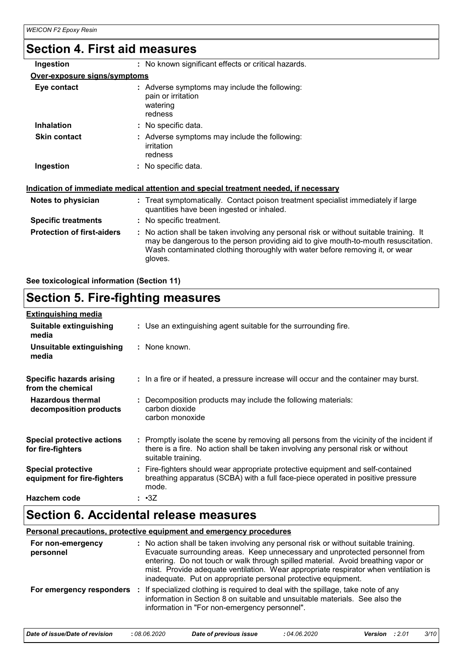## **Section 4. First aid measures**

| Ingestion                         | : No known significant effects or critical hazards.                                                                                                                                                                                                                      |
|-----------------------------------|--------------------------------------------------------------------------------------------------------------------------------------------------------------------------------------------------------------------------------------------------------------------------|
| Over-exposure signs/symptoms      |                                                                                                                                                                                                                                                                          |
| Eye contact                       | : Adverse symptoms may include the following:<br>pain or irritation<br>watering<br>redness                                                                                                                                                                               |
| <b>Inhalation</b>                 | : No specific data.                                                                                                                                                                                                                                                      |
| <b>Skin contact</b>               | : Adverse symptoms may include the following:<br>irritation<br>redness                                                                                                                                                                                                   |
| Ingestion                         | : No specific data.<br><u>Indication of immediate medical attention and special treatment needed, if necessary</u>                                                                                                                                                       |
|                                   |                                                                                                                                                                                                                                                                          |
| Notes to physician                | : Treat symptomatically. Contact poison treatment specialist immediately if large<br>quantities have been ingested or inhaled.                                                                                                                                           |
| <b>Specific treatments</b>        | : No specific treatment.                                                                                                                                                                                                                                                 |
| <b>Protection of first-aiders</b> | : No action shall be taken involving any personal risk or without suitable training. It<br>may be dangerous to the person providing aid to give mouth-to-mouth resuscitation.<br>Wash contaminated clothing thoroughly with water before removing it, or wear<br>gloves. |

**See toxicological information (Section 11)**

### **Section 5. Fire-fighting measures**

| <b>Extinguishing media</b>                               |                                                                                                                                                                                                     |
|----------------------------------------------------------|-----------------------------------------------------------------------------------------------------------------------------------------------------------------------------------------------------|
| Suitable extinguishing<br>media                          | : Use an extinguishing agent suitable for the surrounding fire.                                                                                                                                     |
| Unsuitable extinguishing<br>media                        | : None known.                                                                                                                                                                                       |
| Specific hazards arising<br>from the chemical            | : In a fire or if heated, a pressure increase will occur and the container may burst.                                                                                                               |
| <b>Hazardous thermal</b><br>decomposition products       | : Decomposition products may include the following materials:<br>carbon dioxide<br>carbon monoxide                                                                                                  |
| <b>Special protective actions</b><br>for fire-fighters   | : Promptly isolate the scene by removing all persons from the vicinity of the incident if<br>there is a fire. No action shall be taken involving any personal risk or without<br>suitable training. |
| <b>Special protective</b><br>equipment for fire-fighters | : Fire-fighters should wear appropriate protective equipment and self-contained<br>breathing apparatus (SCBA) with a full face-piece operated in positive pressure<br>mode.                         |
| Hazchem code                                             | : •3Z                                                                                                                                                                                               |

### **Section 6. Accidental release measures**

| <b>Personal precautions, protective equipment and emergency procedures</b> |  |                                                                                                                                                                                                                                                                                                                                                                                                                  |
|----------------------------------------------------------------------------|--|------------------------------------------------------------------------------------------------------------------------------------------------------------------------------------------------------------------------------------------------------------------------------------------------------------------------------------------------------------------------------------------------------------------|
| For non-emergency<br>personnel                                             |  | : No action shall be taken involving any personal risk or without suitable training.<br>Evacuate surrounding areas. Keep unnecessary and unprotected personnel from<br>entering. Do not touch or walk through spilled material. Avoid breathing vapor or<br>mist. Provide adequate ventilation. Wear appropriate respirator when ventilation is<br>inadequate. Put on appropriate personal protective equipment. |
|                                                                            |  | For emergency responders : If specialized clothing is required to deal with the spillage, take note of any<br>information in Section 8 on suitable and unsuitable materials. See also the<br>information in "For non-emergency personnel".                                                                                                                                                                       |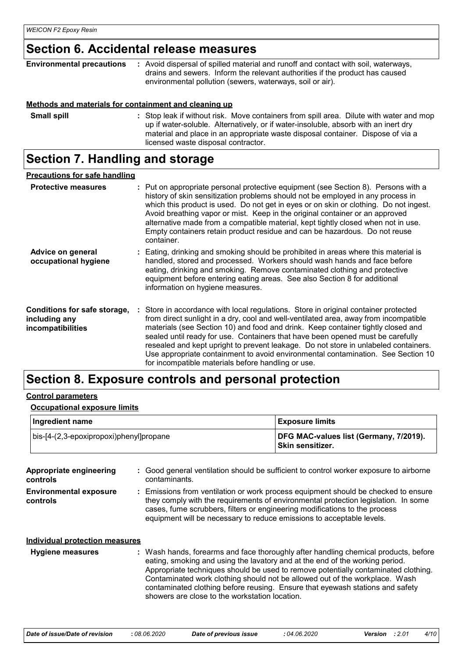### **Section 6. Accidental release measures**

| <b>Environmental precautions</b> | : Avoid dispersal of spilled material and runoff and contact with soil, waterways,<br>drains and sewers. Inform the relevant authorities if the product has caused<br>environmental pollution (sewers, waterways, soil or air). |
|----------------------------------|---------------------------------------------------------------------------------------------------------------------------------------------------------------------------------------------------------------------------------|
|                                  | Methods and materials for containment and cleaning up                                                                                                                                                                           |
| <b>Small snill</b>               | . Stop leak if without risk Move containers from spill area. Dilute with water and more                                                                                                                                         |

| <b>Small spill</b> | : Stop leak if without risk. Move containers from spill area. Dilute with water and mop |
|--------------------|-----------------------------------------------------------------------------------------|
|                    | up if water-soluble. Alternatively, or if water-insoluble, absorb with an inert dry     |
|                    | material and place in an appropriate waste disposal container. Dispose of via a         |
|                    | licensed waste disposal contractor.                                                     |

## **Section 7. Handling and storage**

| <b>Precautions for safe handling</b>                               |                                                                                                                                                                                                                                                                                                                                                                                                                                                                                                                                                                                    |
|--------------------------------------------------------------------|------------------------------------------------------------------------------------------------------------------------------------------------------------------------------------------------------------------------------------------------------------------------------------------------------------------------------------------------------------------------------------------------------------------------------------------------------------------------------------------------------------------------------------------------------------------------------------|
| <b>Protective measures</b>                                         | : Put on appropriate personal protective equipment (see Section 8). Persons with a<br>history of skin sensitization problems should not be employed in any process in<br>which this product is used. Do not get in eyes or on skin or clothing. Do not ingest.<br>Avoid breathing vapor or mist. Keep in the original container or an approved<br>alternative made from a compatible material, kept tightly closed when not in use.<br>Empty containers retain product residue and can be hazardous. Do not reuse<br>container.                                                    |
| Advice on general<br>occupational hygiene                          | : Eating, drinking and smoking should be prohibited in areas where this material is<br>handled, stored and processed. Workers should wash hands and face before<br>eating, drinking and smoking. Remove contaminated clothing and protective<br>equipment before entering eating areas. See also Section 8 for additional<br>information on hygiene measures.                                                                                                                                                                                                                      |
| Conditions for safe storage,<br>including any<br>incompatibilities | : Store in accordance with local regulations. Store in original container protected<br>from direct sunlight in a dry, cool and well-ventilated area, away from incompatible<br>materials (see Section 10) and food and drink. Keep container tightly closed and<br>sealed until ready for use. Containers that have been opened must be carefully<br>resealed and kept upright to prevent leakage. Do not store in unlabeled containers.<br>Use appropriate containment to avoid environmental contamination. See Section 10<br>for incompatible materials before handling or use. |

### **Section 8. Exposure controls and personal protection**

#### **Control parameters**

#### **Occupational exposure limits**

| Ingredient name                                 | <b>Exposure limits</b>                                      |  |  |
|-------------------------------------------------|-------------------------------------------------------------|--|--|
| $\vert$ bis-[4-(2,3-epoxipropoxi)phenyl]propane | DFG MAC-values list (Germany, 7/2019).<br>⊺Skin sensitizer. |  |  |

| Appropriate engineering<br>controls<br><b>Environmental exposure</b><br>controls | : Good general ventilation should be sufficient to control worker exposure to airborne<br>contaminants.<br>: Emissions from ventilation or work process equipment should be checked to ensure<br>they comply with the requirements of environmental protection legislation. In some<br>cases, fume scrubbers, filters or engineering modifications to the process<br>equipment will be necessary to reduce emissions to acceptable levels.                                  |
|----------------------------------------------------------------------------------|-----------------------------------------------------------------------------------------------------------------------------------------------------------------------------------------------------------------------------------------------------------------------------------------------------------------------------------------------------------------------------------------------------------------------------------------------------------------------------|
| <b>Individual protection measures</b><br><b>Hygiene measures</b>                 | : Wash hands, forearms and face thoroughly after handling chemical products, before<br>eating, smoking and using the lavatory and at the end of the working period.<br>Appropriate techniques should be used to remove potentially contaminated clothing.<br>Contaminated work clothing should not be allowed out of the workplace. Wash<br>contaminated clothing before reusing. Ensure that eyewash stations and safety<br>showers are close to the workstation location. |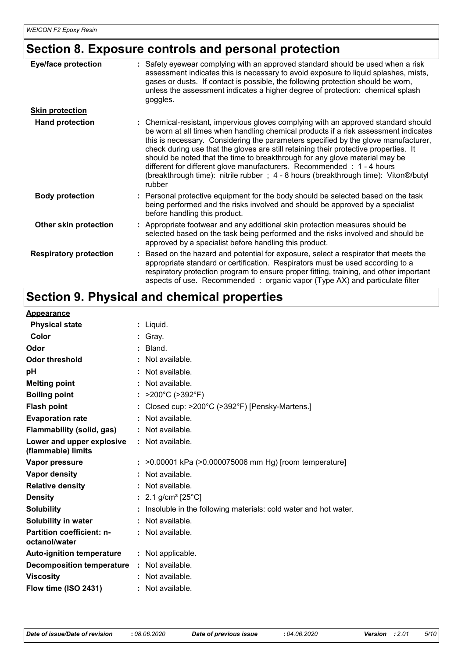## **Section 8. Exposure controls and personal protection**

| <b>Eye/face protection</b>    | Safety eyewear complying with an approved standard should be used when a risk<br>assessment indicates this is necessary to avoid exposure to liquid splashes, mists,<br>gases or dusts. If contact is possible, the following protection should be worn,<br>unless the assessment indicates a higher degree of protection: chemical splash<br>goggles.                                                                                                                                                                                                                                                           |
|-------------------------------|------------------------------------------------------------------------------------------------------------------------------------------------------------------------------------------------------------------------------------------------------------------------------------------------------------------------------------------------------------------------------------------------------------------------------------------------------------------------------------------------------------------------------------------------------------------------------------------------------------------|
| <b>Skin protection</b>        |                                                                                                                                                                                                                                                                                                                                                                                                                                                                                                                                                                                                                  |
| <b>Hand protection</b>        | : Chemical-resistant, impervious gloves complying with an approved standard should<br>be worn at all times when handling chemical products if a risk assessment indicates<br>this is necessary. Considering the parameters specified by the glove manufacturer,<br>check during use that the gloves are still retaining their protective properties. It<br>should be noted that the time to breakthrough for any glove material may be<br>different for different glove manufacturers. Recommended : 1 - 4 hours<br>(breakthrough time): nitrile rubber; 4 - 8 hours (breakthrough time): Viton®/butyl<br>rubber |
| <b>Body protection</b>        | : Personal protective equipment for the body should be selected based on the task<br>being performed and the risks involved and should be approved by a specialist<br>before handling this product.                                                                                                                                                                                                                                                                                                                                                                                                              |
| Other skin protection         | : Appropriate footwear and any additional skin protection measures should be<br>selected based on the task being performed and the risks involved and should be<br>approved by a specialist before handling this product.                                                                                                                                                                                                                                                                                                                                                                                        |
| <b>Respiratory protection</b> | Based on the hazard and potential for exposure, select a respirator that meets the<br>appropriate standard or certification. Respirators must be used according to a<br>respiratory protection program to ensure proper fitting, training, and other important<br>aspects of use. Recommended : organic vapor (Type AX) and particulate filter                                                                                                                                                                                                                                                                   |

### **Section 9. Physical and chemical properties**

| <b>Appearance</b>                                 |                                                                 |
|---------------------------------------------------|-----------------------------------------------------------------|
| <b>Physical state</b>                             | : Liquid.                                                       |
| Color                                             | : Gray.                                                         |
| Odor                                              | Bland.                                                          |
| <b>Odor threshold</b>                             | Not available.                                                  |
| рH                                                | Not available.                                                  |
| <b>Melting point</b>                              | : Not available.                                                |
| <b>Boiling point</b>                              | >200°C (>392°F)                                                 |
| <b>Flash point</b>                                | Closed cup: >200°C (>392°F) [Pensky-Martens.]                   |
| <b>Evaporation rate</b>                           | Not available.                                                  |
| Flammability (solid, gas)                         | : Not available.                                                |
| Lower and upper explosive<br>(flammable) limits   | : Not available.                                                |
| Vapor pressure                                    | : >0.00001 kPa (>0.000075006 mm Hg) [room temperature]          |
| Vapor density                                     | : Not available.                                                |
| <b>Relative density</b>                           | : Not available.                                                |
| <b>Density</b>                                    | : 2.1 g/cm <sup>3</sup> [25°C]                                  |
| <b>Solubility</b>                                 | Insoluble in the following materials: cold water and hot water. |
| Solubility in water                               | : Not available.                                                |
| <b>Partition coefficient: n-</b><br>octanol/water | : Not available.                                                |
| <b>Auto-ignition temperature</b>                  | : Not applicable.                                               |
| <b>Decomposition temperature</b>                  | : Not available.                                                |
| <b>Viscosity</b>                                  | : Not available.                                                |
| Flow time (ISO 2431)                              | : Not available.                                                |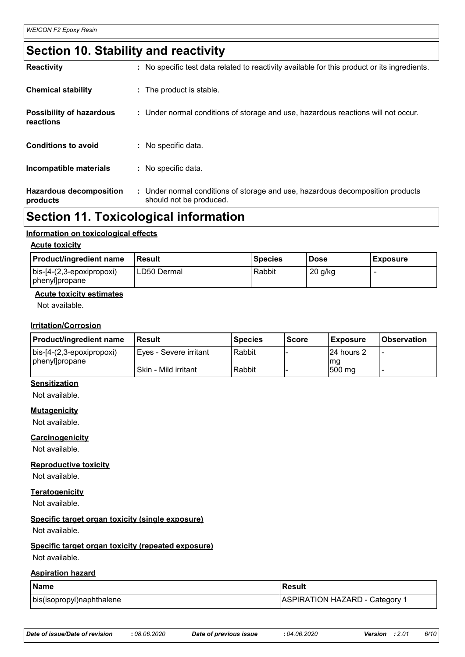### **Section 10. Stability and reactivity**

| <b>Hazardous decomposition</b><br>products   | : Under normal conditions of storage and use, hazardous decomposition products<br>should not be produced. |
|----------------------------------------------|-----------------------------------------------------------------------------------------------------------|
| Incompatible materials                       | : No specific data.                                                                                       |
| <b>Conditions to avoid</b>                   | : No specific data.                                                                                       |
| <b>Possibility of hazardous</b><br>reactions | : Under normal conditions of storage and use, hazardous reactions will not occur.                         |
| <b>Chemical stability</b>                    | : The product is stable.                                                                                  |
| <b>Reactivity</b>                            | : No specific test data related to reactivity available for this product or its ingredients.              |

### **Section 11. Toxicological information**

#### **Information on toxicological effects**

#### **Acute toxicity**

| <b>Product/ingredient name</b>              | Result      | <b>Species</b> | <b>Dose</b> | <b>Exposure</b> |
|---------------------------------------------|-------------|----------------|-------------|-----------------|
| bis-[4-(2,3-epoxipropoxi)<br>phenyl]propane | LD50 Dermal | Rabbit         | $20$ g/kg   |                 |

#### **Acute toxicity estimates**

Not available.

#### **Irritation/Corrosion**

| <b>Product/ingredient name</b>    | l Result                 | Species | <b>Score</b> | <b>Exposure</b> | <b>Observation</b> |
|-----------------------------------|--------------------------|---------|--------------|-----------------|--------------------|
| $\vert$ bis-[4-(2,3-epoxipropoxi) | ' Eyes - Severe irritant | Rabbit  |              | 24 hours 2      |                    |
| phenyl]propane                    | Skin - Mild irritant     | Rabbit  |              | mq<br>500 mg    |                    |

### **Sensitization**

Not available.

#### **Mutagenicity**

Not available.

#### **Carcinogenicity**

Not available.

#### **Reproductive toxicity**

Not available.

**Teratogenicity**

Not available.

#### **Specific target organ toxicity (single exposure)**

Not available.

#### **Specific target organ toxicity (repeated exposure)**

Not available.

#### **Aspiration hazard**

| Name                      | Result                       |
|---------------------------|------------------------------|
| bis(isopropyl)naphthalene | ASPIRATION HAZARD - Category |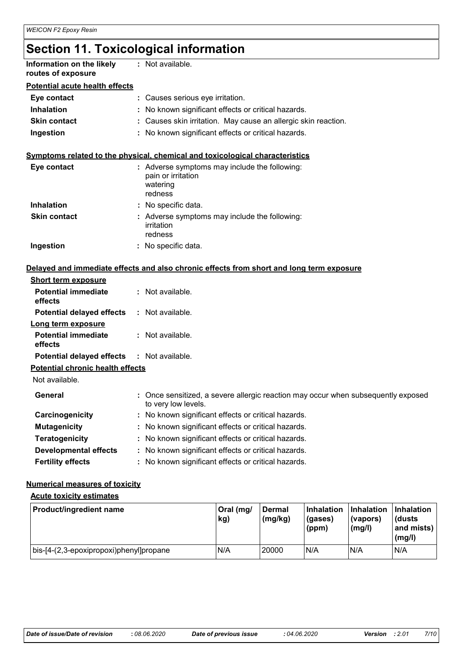### **Section 11. Toxicological information**

| Information on the likely<br>routes of exposure | : Not available.                                                                                         |
|-------------------------------------------------|----------------------------------------------------------------------------------------------------------|
| <b>Potential acute health effects</b>           |                                                                                                          |
| Eye contact                                     | : Causes serious eye irritation.                                                                         |
| <b>Inhalation</b>                               | : No known significant effects or critical hazards.                                                      |
| <b>Skin contact</b>                             | : Causes skin irritation. May cause an allergic skin reaction.                                           |
| Ingestion                                       | : No known significant effects or critical hazards.                                                      |
|                                                 | Symptoms related to the physical, chemical and toxicological characteristics                             |
| Eye contact                                     | : Adverse symptoms may include the following:<br>pain or irritation<br>watering<br>redness               |
| <b>Inhalation</b>                               | : No specific data.                                                                                      |
| <b>Skin contact</b>                             | : Adverse symptoms may include the following:<br>irritation<br>redness                                   |
| Ingestion                                       | : No specific data.                                                                                      |
|                                                 | Delayed and immediate effects and also chronic effects from short and long term exposure                 |
| <b>Short term exposure</b>                      |                                                                                                          |
| <b>Potential immediate</b><br>effects           | : Not available.                                                                                         |
| <b>Potential delayed effects</b>                | : Not available.                                                                                         |
| Long term exposure                              |                                                                                                          |
| <b>Potential immediate</b><br>effects           | : Not available.                                                                                         |
| <b>Potential delayed effects</b>                | : Not available.                                                                                         |
| <b>Potential chronic health effects</b>         |                                                                                                          |
| Not available.                                  |                                                                                                          |
| General                                         | : Once sensitized, a severe allergic reaction may occur when subsequently exposed<br>to very low levels. |
| Carcinogenicity                                 | No known significant effects or critical hazards.                                                        |
| <b>Mutagenicity</b>                             | No known significant effects or critical hazards.                                                        |
| <b>Teratogenicity</b>                           | No known significant effects or critical hazards.                                                        |
| <b>Developmental effects</b>                    | No known significant effects or critical hazards.                                                        |
| <b>Fertility effects</b>                        | No known significant effects or critical hazards.                                                        |

#### **Numerical measures of toxicity**

#### **Acute toxicity estimates**

| Product/ingredient name                 | Oral (mg/<br>kg) | <b>Dermal</b><br>$\langle$ (mg/kg) | <b>Inhalation</b><br>(gases)<br>(ppm) | <b>Inhalation</b><br>(vapors)<br>(mg/l) | <b>Inhalation</b><br>(dusts<br>and mists)<br>(mg/l) |
|-----------------------------------------|------------------|------------------------------------|---------------------------------------|-----------------------------------------|-----------------------------------------------------|
| bis-[4-(2,3-epoxipropoxi)phenyl]propane | N/A              | 20000                              | N/A                                   | N/A                                     | N/A                                                 |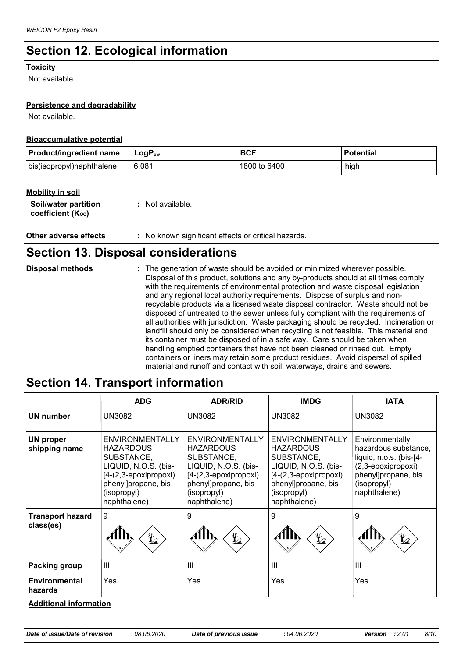### **Section 12. Ecological information**

#### **Toxicity**

Not available.

#### **Persistence and degradability**

Not available.

#### **Bioaccumulative potential**

| <b>Product/ingredient name</b> | ∣LoqP <sub>ow</sub> | <b>BCF</b>   | <b>Potential</b> |
|--------------------------------|---------------------|--------------|------------------|
| bis(isopropyl)naphthalene      | 6.081               | 1800 to 6400 | high             |

#### **Mobility in soil**

| Soil/water partition   | : Not available. |
|------------------------|------------------|
| coefficient $(K_{oc})$ |                  |

**Other adverse effects** : No known significant effects or critical hazards.

### **Section 13. Disposal considerations**

| <b>Disposal methods</b> | : The generation of waste should be avoided or minimized wherever possible.<br>Disposal of this product, solutions and any by-products should at all times comply<br>with the requirements of environmental protection and waste disposal legislation<br>and any regional local authority requirements. Dispose of surplus and non-<br>recyclable products via a licensed waste disposal contractor. Waste should not be<br>disposed of untreated to the sewer unless fully compliant with the requirements of<br>all authorities with jurisdiction. Waste packaging should be recycled. Incineration or<br>landfill should only be considered when recycling is not feasible. This material and<br>its container must be disposed of in a safe way. Care should be taken when<br>handling emptied containers that have not been cleaned or rinsed out. Empty<br>containers or liners may retain some product residues. Avoid dispersal of spilled |
|-------------------------|----------------------------------------------------------------------------------------------------------------------------------------------------------------------------------------------------------------------------------------------------------------------------------------------------------------------------------------------------------------------------------------------------------------------------------------------------------------------------------------------------------------------------------------------------------------------------------------------------------------------------------------------------------------------------------------------------------------------------------------------------------------------------------------------------------------------------------------------------------------------------------------------------------------------------------------------------|
|                         | material and runoff and contact with soil, waterways, drains and sewers.                                                                                                                                                                                                                                                                                                                                                                                                                                                                                                                                                                                                                                                                                                                                                                                                                                                                           |

### **Section 14. Transport information**

|                                      | <b>ADG</b>                                                                                                                                                        | <b>ADR/RID</b>                                                                                                                                           | <b>IMDG</b>                                                                                                                                                     | <b>IATA</b>                                                                                                                                    |
|--------------------------------------|-------------------------------------------------------------------------------------------------------------------------------------------------------------------|----------------------------------------------------------------------------------------------------------------------------------------------------------|-----------------------------------------------------------------------------------------------------------------------------------------------------------------|------------------------------------------------------------------------------------------------------------------------------------------------|
| <b>UN number</b>                     | <b>UN3082</b>                                                                                                                                                     | <b>UN3082</b>                                                                                                                                            | <b>UN3082</b>                                                                                                                                                   | <b>UN3082</b>                                                                                                                                  |
| <b>UN proper</b><br>shipping name    | <b>ENVIRONMENTALLY</b><br><b>HAZARDOUS</b><br>SUBSTANCE,<br>LIQUID, N.O.S. (bis-<br>$[4-(2,3-epoxipropoxi)$<br>phenyl]propane, bis<br>(isopropyl)<br>naphthalene) | ENVIRONMENTALLY<br><b>HAZARDOUS</b><br>SUBSTANCE,<br>LIQUID, N.O.S. (bis-<br>[4-(2,3-epoxipropoxi)<br>phenyl]propane, bis<br>(isopropyl)<br>naphthalene) | <b>ENVIRONMENTALLY</b><br><b>HAZARDOUS</b><br>SUBSTANCE,<br>LIQUID, N.O.S. (bis-<br>[4-(2,3-epoxipropoxi)<br>phenyl]propane, bis<br>(isopropyl)<br>naphthalene) | Environmentally<br>hazardous substance,<br>liquid, n.o.s. (bis-[4-<br>(2,3-epoxipropoxi)<br>phenyl]propane, bis<br>(isopropyl)<br>naphthalene) |
| <b>Transport hazard</b><br>class(es) | 9<br>$\bigstar$                                                                                                                                                   | 9<br>$\bigstar$                                                                                                                                          | 9<br>$\bigstar$                                                                                                                                                 | 9<br>¥⊿                                                                                                                                        |
| Packing group                        | $\mathbf{III}$                                                                                                                                                    | III                                                                                                                                                      | $\mathbf{III}$                                                                                                                                                  | III                                                                                                                                            |
| Environmental<br>hazards             | Yes.                                                                                                                                                              | Yes.                                                                                                                                                     | Yes.                                                                                                                                                            | Yes.                                                                                                                                           |

#### **Additional information**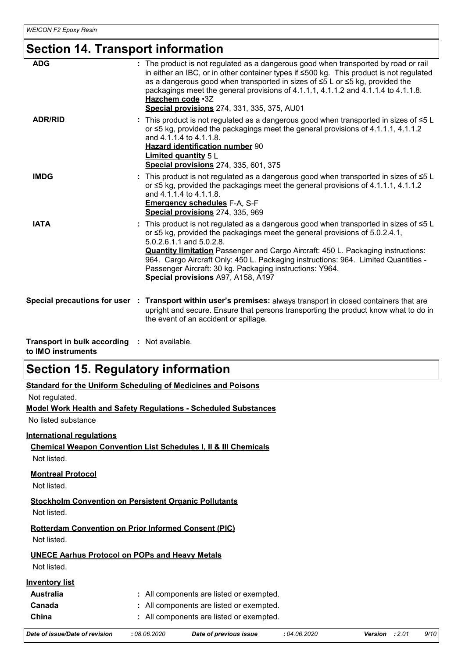### **Section 14. Transport information**

| <b>ADG</b>                                                         | : The product is not regulated as a dangerous good when transported by road or rail<br>in either an IBC, or in other container types if ≤500 kg. This product is not regulated<br>as a dangerous good when transported in sizes of ≤5 L or ≤5 kg, provided the<br>packagings meet the general provisions of 4.1.1.1, 4.1.1.2 and 4.1.1.4 to 4.1.1.8.<br>Hazchem code .3Z<br><b>Special provisions</b> 274, 331, 335, 375, AU01                                                                  |
|--------------------------------------------------------------------|-------------------------------------------------------------------------------------------------------------------------------------------------------------------------------------------------------------------------------------------------------------------------------------------------------------------------------------------------------------------------------------------------------------------------------------------------------------------------------------------------|
| <b>ADR/RID</b>                                                     | This product is not regulated as a dangerous good when transported in sizes of $\leq 5$ L<br>or $\leq$ 5 kg, provided the packagings meet the general provisions of 4.1.1.1, 4.1.1.2<br>and 4.1.1.4 to 4.1.1.8.<br>Hazard identification number 90<br><b>Limited quantity 5 L</b><br>Special provisions 274, 335, 601, 375                                                                                                                                                                      |
| <b>IMDG</b>                                                        | This product is not regulated as a dangerous good when transported in sizes of $\leq 5$ L<br>or $\leq$ 5 kg, provided the packagings meet the general provisions of 4.1.1.1, 4.1.1.2<br>and 4.1.1.4 to 4.1.1.8.<br><b>Emergency schedules F-A, S-F</b><br>Special provisions 274, 335, 969                                                                                                                                                                                                      |
| <b>IATA</b>                                                        | : This product is not regulated as a dangerous good when transported in sizes of $\leq 5$ L<br>or $\leq$ 5 kg, provided the packagings meet the general provisions of 5.0.2.4.1,<br>5.0.2.6.1.1 and 5.0.2.8.<br><b>Quantity limitation</b> Passenger and Cargo Aircraft: 450 L. Packaging instructions:<br>964. Cargo Aircraft Only: 450 L. Packaging instructions: 964. Limited Quantities -<br>Passenger Aircraft: 30 kg. Packaging instructions: Y964.<br>Special provisions A97, A158, A197 |
|                                                                    | Special precautions for user : Transport within user's premises: always transport in closed containers that are<br>upright and secure. Ensure that persons transporting the product know what to do in<br>the event of an accident or spillage.                                                                                                                                                                                                                                                 |
| Transport in bulk according : Not available.<br>to IMO instruments |                                                                                                                                                                                                                                                                                                                                                                                                                                                                                                 |

### **Section 15. Regulatory information**

| Standard for the Uniform Scheduling of Medicines and Poisons |  |
|--------------------------------------------------------------|--|
|                                                              |  |

Not regulated.

**Model Work Health and Safety Regulations - Scheduled Substances**

No listed substance

#### **International regulations**

**Chemical Weapon Convention List Schedules I, II & III Chemicals**

Not listed.

#### **Montreal Protocol**

Not listed.

**Stockholm Convention on Persistent Organic Pollutants** Not listed.

### **Rotterdam Convention on Prior Informed Consent (PIC)**

Not listed.

#### **UNECE Aarhus Protocol on POPs and Heavy Metals**

Not listed.

#### **Inventory list**

| <b>Australia</b> | : All components are listed or exempted. |
|------------------|------------------------------------------|
| Canada           | : All components are listed or exempted. |
| China            | : All components are listed or exempted. |